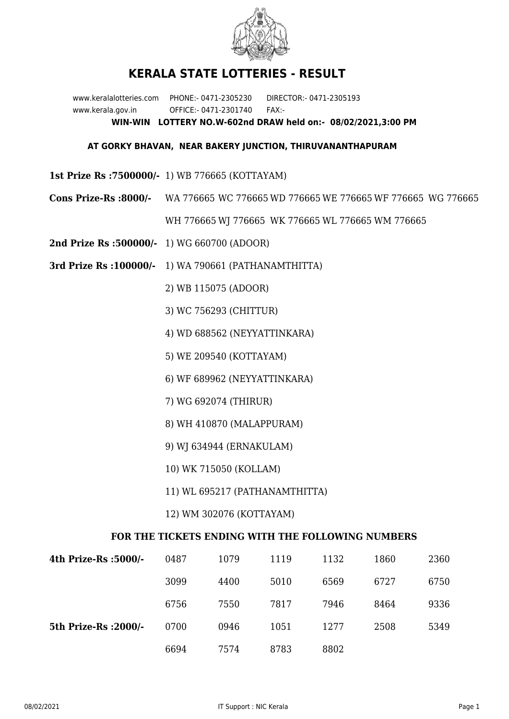

## **KERALA STATE LOTTERIES - RESULT**

www.keralalotteries.com PHONE:- 0471-2305230 DIRECTOR:- 0471-2305193 www.kerala.gov.in OFFICE:- 0471-2301740 FAX:- **WIN-WIN LOTTERY NO.W-602nd DRAW held on:- 08/02/2021,3:00 PM**

## **AT GORKY BHAVAN, NEAR BAKERY JUNCTION, THIRUVANANTHAPURAM**

- **1st Prize Rs :7500000/-** 1) WB 776665 (KOTTAYAM)
- **Cons Prize-Rs :8000/-** WA 776665 WC 776665 WD 776665 WE 776665 WF 776665 WG 776665

WH 776665 WJ 776665 WK 776665 WL 776665 WM 776665

- **2nd Prize Rs :500000/-** 1) WG 660700 (ADOOR)
- **3rd Prize Rs :100000/-** 1) WA 790661 (PATHANAMTHITTA)

2) WB 115075 (ADOOR)

- 3) WC 756293 (CHITTUR)
- 4) WD 688562 (NEYYATTINKARA)
- 5) WE 209540 (KOTTAYAM)
- 6) WF 689962 (NEYYATTINKARA)
- 7) WG 692074 (THIRUR)
- 8) WH 410870 (MALAPPURAM)
- 9) WJ 634944 (ERNAKULAM)
- 10) WK 715050 (KOLLAM)
- 11) WL 695217 (PATHANAMTHITTA)
- 12) WM 302076 (KOTTAYAM)

## **FOR THE TICKETS ENDING WITH THE FOLLOWING NUMBERS**

| 4th Prize-Rs :5000/-  | 0487 | 1079 | 1119 | 1132 | 1860 | 2360 |
|-----------------------|------|------|------|------|------|------|
|                       | 3099 | 4400 | 5010 | 6569 | 6727 | 6750 |
|                       | 6756 | 7550 | 7817 | 7946 | 8464 | 9336 |
| 5th Prize-Rs : 2000/- | 0700 | 0946 | 1051 | 1277 | 2508 | 5349 |
|                       | 6694 | 7574 | 8783 | 8802 |      |      |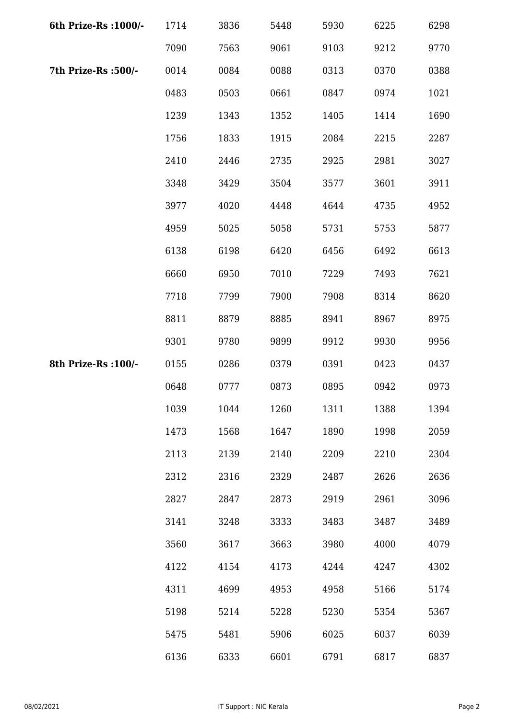| 6th Prize-Rs : 1000/- | 1714 | 3836 | 5448 | 5930 | 6225 | 6298 |
|-----------------------|------|------|------|------|------|------|
|                       | 7090 | 7563 | 9061 | 9103 | 9212 | 9770 |
| 7th Prize-Rs : 500/-  | 0014 | 0084 | 0088 | 0313 | 0370 | 0388 |
|                       | 0483 | 0503 | 0661 | 0847 | 0974 | 1021 |
|                       | 1239 | 1343 | 1352 | 1405 | 1414 | 1690 |
|                       | 1756 | 1833 | 1915 | 2084 | 2215 | 2287 |
|                       | 2410 | 2446 | 2735 | 2925 | 2981 | 3027 |
|                       | 3348 | 3429 | 3504 | 3577 | 3601 | 3911 |
|                       | 3977 | 4020 | 4448 | 4644 | 4735 | 4952 |
|                       | 4959 | 5025 | 5058 | 5731 | 5753 | 5877 |
|                       | 6138 | 6198 | 6420 | 6456 | 6492 | 6613 |
|                       | 6660 | 6950 | 7010 | 7229 | 7493 | 7621 |
|                       | 7718 | 7799 | 7900 | 7908 | 8314 | 8620 |
|                       | 8811 | 8879 | 8885 | 8941 | 8967 | 8975 |
|                       | 9301 | 9780 | 9899 | 9912 | 9930 | 9956 |
| 8th Prize-Rs : 100/-  | 0155 | 0286 | 0379 | 0391 | 0423 | 0437 |
|                       | 0648 | 0777 | 0873 | 0895 | 0942 | 0973 |
|                       | 1039 | 1044 | 1260 | 1311 | 1388 | 1394 |
|                       | 1473 | 1568 | 1647 | 1890 | 1998 | 2059 |
|                       | 2113 | 2139 | 2140 | 2209 | 2210 | 2304 |
|                       | 2312 | 2316 | 2329 | 2487 | 2626 | 2636 |
|                       | 2827 | 2847 | 2873 | 2919 | 2961 | 3096 |
|                       | 3141 | 3248 | 3333 | 3483 | 3487 | 3489 |
|                       | 3560 | 3617 | 3663 | 3980 | 4000 | 4079 |
|                       | 4122 | 4154 | 4173 | 4244 | 4247 | 4302 |
|                       | 4311 | 4699 | 4953 | 4958 | 5166 | 5174 |
|                       | 5198 | 5214 | 5228 | 5230 | 5354 | 5367 |
|                       | 5475 | 5481 | 5906 | 6025 | 6037 | 6039 |
|                       | 6136 | 6333 | 6601 | 6791 | 6817 | 6837 |